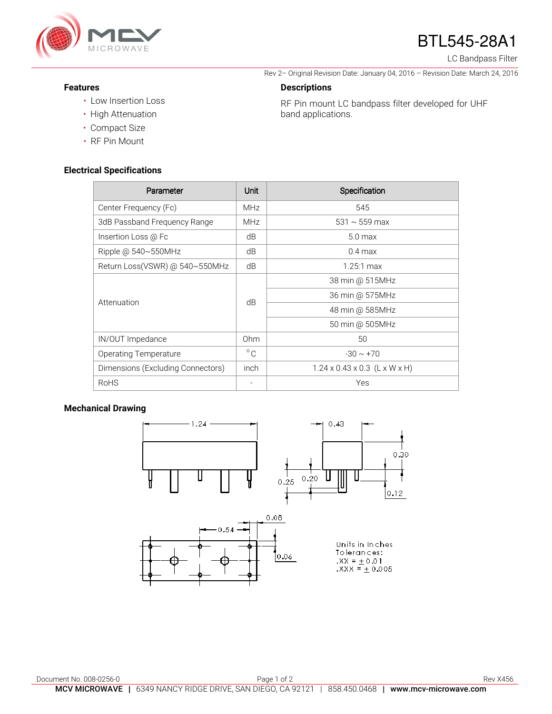

# BTL545-28A1

Rev 2– Original Revision Date: January 04, 2016 – Revision Date: March 24, 2016

RF Pin mount LC bandpass filter developed for UHF

LC Bandpass Filter

#### **Features**

- Low Insertion Loss
- High Attenuation
- Compact Size
- RF Pin Mount

#### **Electrical Specifications**

| Parameter                         | Unit         | Specification                             |
|-----------------------------------|--------------|-------------------------------------------|
| Center Frequency (Fc)             | <b>MHz</b>   | 545                                       |
| 3dB Passband Frequency Range      | <b>MHz</b>   | 531 $\sim$ 559 max                        |
| Insertion Loss @ Fc               | dB           | 5.0 <sub>max</sub>                        |
| Ripple @ $540 \sim 550$ MHz       | dB           | $0.4 \text{ max}$                         |
| Return Loss(VSWR) @ 540~550MHz    | dB           | $1.25:1 \text{ max}$                      |
| Attenuation                       | dB           | 38 min @ 515MHz                           |
|                                   |              | 36 min @ 575MHz                           |
|                                   |              | 48 min @ 585MHz                           |
|                                   |              | 50 min @ 505MHz                           |
| IN/OUT Impedance                  | Ohm          | 50                                        |
| Operating Temperature             | $^{\circ}$ C | $-30 \sim +70$                            |
| Dimensions (Excluding Connectors) | inch         | $1.24 \times 0.43 \times 0.3$ (L x W x H) |
| <b>RoHS</b>                       |              | Yes                                       |

**Descriptions** 

band applications.

### **Mechanical Drawing**